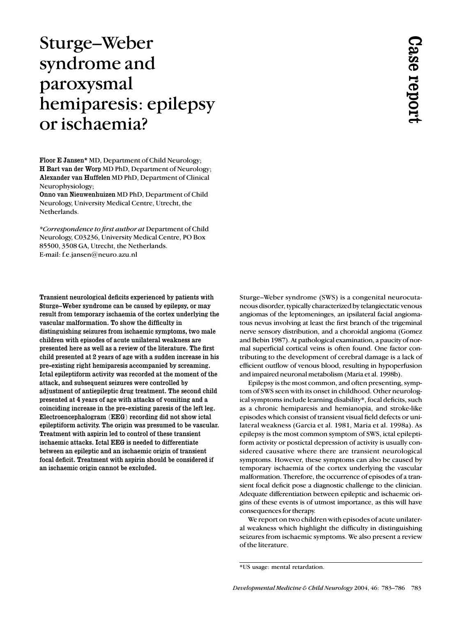# Sturge–Weber syndrome and paroxysmal hemiparesis: epilepsy or ischaemia?

Floor E Jansen\* MD, Department of Child Neurology; H Bart van der Worp MD PhD, Department of Neurology; Alexander van Huffelen MD PhD, Department of Clinical Neurophysiology;

Onno van Nieuwenhuizen MD PhD, Department of Child Neurology, University Medical Centre, Utrecht, the Netherlands.

*\*Correspondence to first author at* Department of Child Neurology, C03236, University Medical Centre, PO Box 85500, 3508 GA, Utrecht, the Netherlands. E-mail: f.e.jansen@neuro.azu.nl

Transient neurological deficits experienced by patients with Sturge–Weber syndrome can be caused by epilepsy, or may result from temporary ischaemia of the cortex underlying the vascular malformation. To show the difficulty in distinguishing seizures from ischaemic symptoms, two male children with episodes of acute unilateral weakness are presented here as well as a review of the literature. The first child presented at 2 years of age with a sudden increase in his pre-existing right hemiparesis accompanied by screaming. Ictal epileptiform activity was recorded at the moment of the attack, and subsequent seizures were controlled by adjustment of antiepileptic drug treatment. The second child presented at 4 years of age with attacks of vomiting and a coinciding increase in the pre-existing paresis of the left leg. Electroencephalogram (EEG) recording did not show ictal epileptiform activity. The origin was presumed to be vascular. Treatment with aspirin led to control of these transient ischaemic attacks. Ictal EEG is needed to differentiate between an epileptic and an ischaemic origin of transient focal deficit. Treatment with aspirin should be considered if an ischaemic origin cannot be excluded.

Sturge–Weber syndrome (SWS) is a congenital neurocutaneous disorder, typically characterized by telangiectatic venous angiomas of the leptomeninges, an ipsilateral facial angiomatous nevus involving at least the first branch of the trigeminal nerve sensory distribution, and a choroidal angioma (Gomez and Bebin 1987). At pathological examination, a paucity of normal superficial cortical veins is often found. One factor contributing to the development of cerebral damage is a lack of efficient outflow of venous blood, resulting in hypoperfusion and impaired neuronal metabolism (Maria et al. 1998b).

Epilepsy is the most common, and often presenting, symptom of SWS seen with its onset in childhood. Other neurological symptoms include learning disability\*, focal deficits, such as a chronic hemiparesis and hemianopia, and stroke-like episodes which consist of transient visual field defects or unilateral weakness (Garcia et al. 1981, Maria et al. 1998a). As epilepsy is the most common symptom of SWS, ictal epileptiform activity or postictal depression of activity is usually considered causative where there are transient neurological symptoms. However, these symptoms can also be caused by temporary ischaemia of the cortex underlying the vascular malformation. Therefore, the occurrence of episodes of a transient focal deficit pose a diagnostic challenge to the clinician. Adequate differentiation between epileptic and ischaemic origins of these events is of utmost importance, as this will have consequences for therapy. **Sturge-Weber syndrome** (SWS) is a congenrial neurocuta<br>neoas disorder, repically characterized by telangletatic venous<br>neuros are be teleponentally, at least the first branch of the tragemental<br>neuros are become the tele

We report on two children with episodes of acute unilateral weakness which highlight the difficulty in distinguishing seizures from ischaemic symptoms. We also present a review of the literature.

<sup>\*</sup>US usage: mental retardation.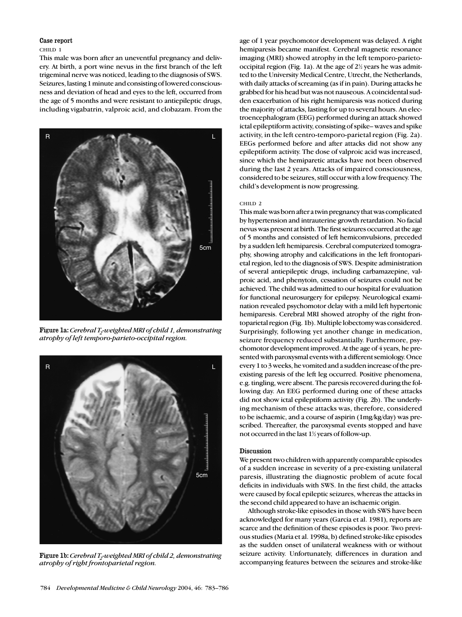## Case report

### CHILD 1

This male was born after an uneventful pregnancy and delivery. At birth, a port wine nevus in the first branch of the left trigeminal nerve was noticed, leading to the diagnosis of SWS. Seizures, lasting 1 minute and consisting of lowered consciousness and deviation of head and eyes to the left, occurred from the age of 5 months and were resistant to antiepileptic drugs, including vigabatrin, valproic acid, and clobazam. From the



Figure 1a: *Cerebral T<sub>2</sub>-weighted MRI of child 1, demonstrating atrophy of left temporo-parieto-occipital region.*



Figure 1b: *Cerebral T<sub>2</sub>-weighted MRI of child 2, demonstrating atrophy of right frontoparietal region.*

age of 1 year psychomotor development was delayed. A right hemiparesis became manifest. Cerebral magnetic resonance imaging (MRI) showed atrophy in the left temporo-parietooccipital region (Fig. 1a). At the age of  $2\frac{1}{2}$  years he was admitted to the University Medical Centre, Utrecht, the Netherlands, with daily attacks of screaming (as if in pain). During attacks he grabbed for his head but was not nauseous. A coincidental sudden exacerbation of his right hemiparesis was noticed during the majority of attacks, lasting for up to several hours. An electroencephalogram (EEG) performed during an attack showed ictal epileptiform activity, consisting of spike– waves and spike activity, in the left centro-temporo-parietal region (Fig. 2a). EEGs performed before and after attacks did not show any epileptiform activity. The dose of valproic acid was increased, since which the hemiparetic attacks have not been observed during the last 2 years. Attacks of impaired consciousness, considered to be seizures, still occur with a low frequency. The child's development is now progressing.

#### CHILD 2

This male was born after a twin pregnancy that was complicated by hypertension and intrauterine growth retardation. No facial nevus was present at birth. The first seizures occurred at the age of 5 months and consisted of left hemiconvulsions, preceded by a sudden left hemiparesis. Cerebral computerized tomography, showing atrophy and calcifications in the left frontoparietal region, led to the diagnosis of SWS. Despite administration of several antiepileptic drugs, including carbamazepine, valproic acid, and phenytoin, cessation of seizures could not be achieved. The child was admitted to our hospital for evaluation for functional neurosurgery for epilepsy. Neurological examination revealed psychomotor delay with a mild left hypertonic hemiparesis. Cerebral MRI showed atrophy of the right frontoparietal region (Fig. 1b). Multiple lobectomy was considered. Surprisingly, following yet another change in medication, seizure frequency reduced substantially. Furthermore, psychomotor development improved. At the age of 4 years, he presented with paroxysmal events with a different semiology. Once every 1 to 3 weeks, he vomited and a sudden increase of the preexisting paresis of the left leg occurred. Positive phenomena, e.g. tingling, were absent. The paresis recovered during the following day. An EEG performed during one of these attacks did not show ictal epileptiform activity (Fig. 2b). The underlying mechanism of these attacks was, therefore, considered to be ischaemic, and a course of aspirin (1mg/kg/day) was prescribed. Thereafter, the paroxysmal events stopped and have not occurred in the last  $1\frac{1}{2}$  years of follow-up.

## Discussion

We present two children with apparently comparable episodes of a sudden increase in severity of a pre-existing unilateral paresis, illustrating the diagnostic problem of acute focal deficits in individuals with SWS. In the first child, the attacks were caused by focal epileptic seizures, whereas the attacks in the second child appeared to have an ischaemic origin.

Although stroke-like episodes in those with SWS have been acknowledged for many years (Garcia et al. 1981), reports are scarce and the definition of these episodes is poor. Two previous studies (Maria et al. 1998a, b) defined stroke-like episodes as the sudden onset of unilateral weakness with or without seizure activity. Unfortunately, differences in duration and accompanying features between the seizures and stroke-like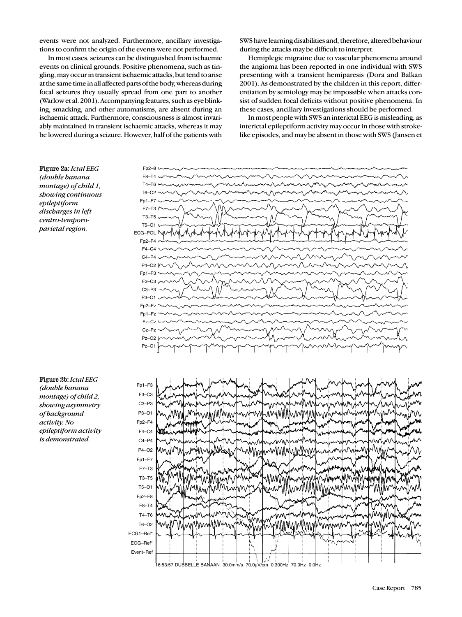events were not analyzed. Furthermore, ancillary investigations to confirm the origin of the events were not performed.

SWS have learning disabilities and, therefore, altered behaviour during the attacks may be difficult to interpret.

In most cases, seizures can be distinguished from ischaemic events on clinical grounds. Positive phenomena, such as tingling, may occur in transient ischaemic attacks, but tend to arise at the same time in all affected parts of the body, whereas during focal seizures they usually spread from one part to another (Warlow et al. 2001). Accompanying features, such as eye blinking, smacking, and other automatisms, are absent during an ischaemic attack. Furthermore, consciousness is almost invariably maintained in transient ischaemic attacks, whereas it may be lowered during a seizure. However, half of the patients with

Hemiplegic migraine due to vascular phenomena around the angioma has been reported in one individual with SWS presenting with a transient hemiparesis (Dora and Balkan 2001). As demonstrated by the children in this report, differentiation by semiology may be impossible when attacks consist of sudden focal deficits without positive phenomena. In these cases, ancillary investigations should be performed.

In most people with SWS an interictal EEG is misleading, as interictal epileptiform activity may occur in those with strokelike episodes, and may be absent in those with SWS (Jansen et



Figure 2a: *Ictal EEG (double banana montage) of child 1, showing continuous epileptiform discharges in left centro-temporoparietal region.*

Figure 2b: *Ictal EEG (double banana montage) of child 2, showing asymmetry of background activity. No epileptiform activity is demonstrated.*